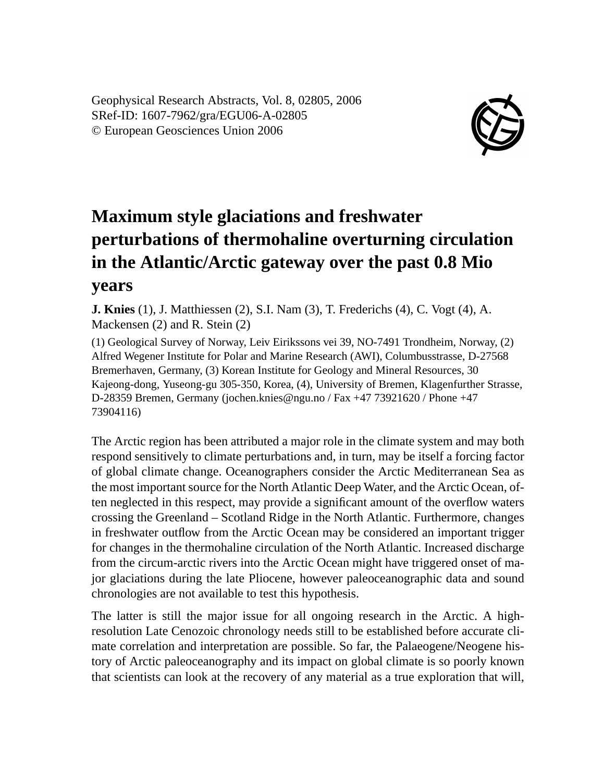Geophysical Research Abstracts, Vol. 8, 02805, 2006 SRef-ID: 1607-7962/gra/EGU06-A-02805 © European Geosciences Union 2006



## **Maximum style glaciations and freshwater perturbations of thermohaline overturning circulation in the Atlantic/Arctic gateway over the past 0.8 Mio years**

**J. Knies** (1), J. Matthiessen (2), S.I. Nam (3), T. Frederichs (4), C. Vogt (4), A. Mackensen (2) and R. Stein (2)

(1) Geological Survey of Norway, Leiv Eirikssons vei 39, NO-7491 Trondheim, Norway, (2) Alfred Wegener Institute for Polar and Marine Research (AWI), Columbusstrasse, D-27568 Bremerhaven, Germany, (3) Korean Institute for Geology and Mineral Resources, 30 Kajeong-dong, Yuseong-gu 305-350, Korea, (4), University of Bremen, Klagenfurther Strasse, D-28359 Bremen, Germany (jochen.knies@ngu.no / Fax +47 73921620 / Phone +47 73904116)

The Arctic region has been attributed a major role in the climate system and may both respond sensitively to climate perturbations and, in turn, may be itself a forcing factor of global climate change. Oceanographers consider the Arctic Mediterranean Sea as the most important source for the North Atlantic Deep Water, and the Arctic Ocean, often neglected in this respect, may provide a significant amount of the overflow waters crossing the Greenland – Scotland Ridge in the North Atlantic. Furthermore, changes in freshwater outflow from the Arctic Ocean may be considered an important trigger for changes in the thermohaline circulation of the North Atlantic. Increased discharge from the circum-arctic rivers into the Arctic Ocean might have triggered onset of major glaciations during the late Pliocene, however paleoceanographic data and sound chronologies are not available to test this hypothesis.

The latter is still the major issue for all ongoing research in the Arctic. A highresolution Late Cenozoic chronology needs still to be established before accurate climate correlation and interpretation are possible. So far, the Palaeogene/Neogene history of Arctic paleoceanography and its impact on global climate is so poorly known that scientists can look at the recovery of any material as a true exploration that will,